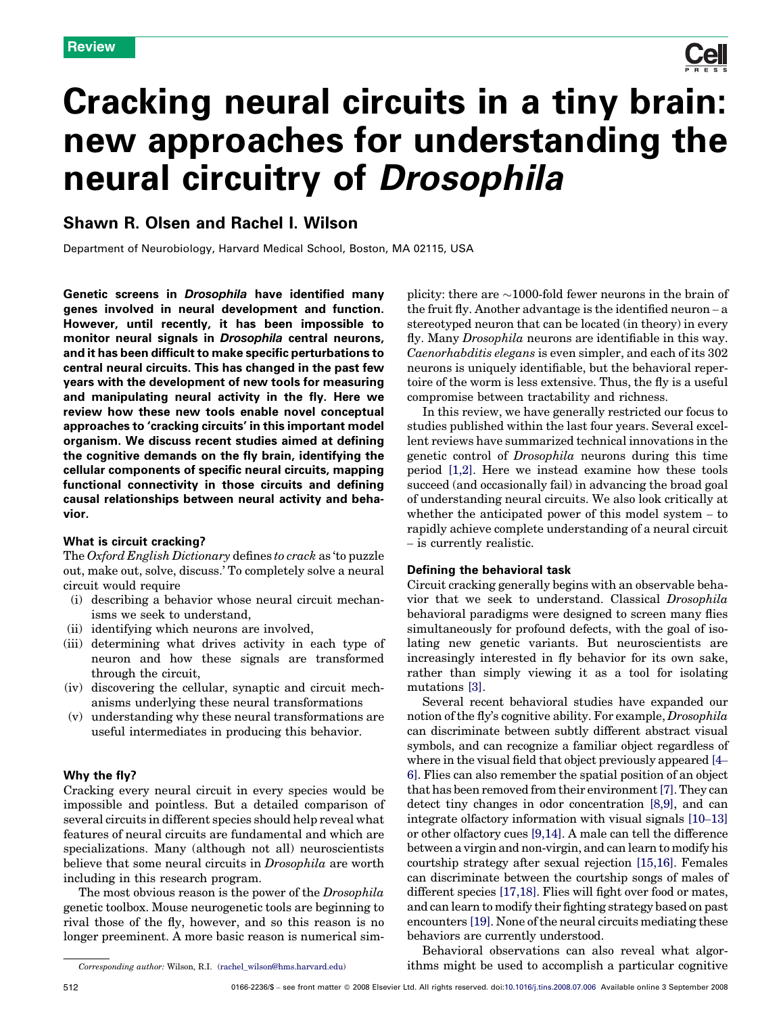# Cracking neural circuits in a tiny brain: new approaches for understanding the neural circuitry of Drosophila

# Shawn R. Olsen and Rachel I. Wilson

Department of Neurobiology, Harvard Medical School, Boston, MA 02115, USA

Genetic screens in Drosophila have identified many genes involved in neural development and function. However, until recently, it has been impossible to monitor neural signals in Drosophila central neurons, and it has been difficult to make specific perturbations to central neural circuits. This has changed in the past few years with the development of new tools for measuring and manipulating neural activity in the fly. Here we review how these new tools enable novel conceptual approaches to 'cracking circuits' in this important model organism. We discuss recent studies aimed at defining the cognitive demands on the fly brain, identifying the cellular components of specific neural circuits, mapping functional connectivity in those circuits and defining causal relationships between neural activity and behavior.

# What is circuit cracking?

The Oxford English Dictionary defines to crack as 'to puzzle out, make out, solve, discuss.' To completely solve a neural circuit would require

- (i) describing a behavior whose neural circuit mechanisms we seek to understand,
- (ii) identifying which neurons are involved,
- (iii) determining what drives activity in each type of neuron and how these signals are transformed through the circuit,
- (iv) discovering the cellular, synaptic and circuit mechanisms underlying these neural transformations
- (v) understanding why these neural transformations are useful intermediates in producing this behavior.

# Why the fly?

Cracking every neural circuit in every species would be impossible and pointless. But a detailed comparison of several circuits in different species should help reveal what features of neural circuits are fundamental and which are specializations. Many (although not all) neuroscientists believe that some neural circuits in *Drosophila* are worth including in this research program.

The most obvious reason is the power of the *Drosophila* genetic toolbox. Mouse neurogenetic tools are beginning to rival those of the fly, however, and so this reason is no longer preeminent. A more basic reason is numerical sim-

Corresponding author: Wilson, R.I. [\(rachel\\_wilson@hms.harvard.edu](mailto:rachel_wilson@hms.harvard.edu))

Behavioral observations can also reveal what algorithms might be used to accomplish a particular cognitive

plicity: there are  $\sim$ 1000-fold fewer neurons in the brain of the fruit fly. Another advantage is the identified neuron – a stereotyped neuron that can be located (in theory) in every fly. Many Drosophila neurons are identifiable in this way. Caenorhabditis elegans is even simpler, and each of its 302 neurons is uniquely identifiable, but the behavioral repertoire of the worm is less extensive. Thus, the fly is a useful compromise between tractability and richness.

In this review, we have generally restricted our focus to studies published within the last four years. Several excellent reviews have summarized technical innovations in the genetic control of Drosophila neurons during this time period [\[1,2\].](#page-6-0) Here we instead examine how these tools succeed (and occasionally fail) in advancing the broad goal of understanding neural circuits. We also look critically at whether the anticipated power of this model system – to rapidly achieve complete understanding of a neural circuit – is currently realistic.

### Defining the behavioral task

Circuit cracking generally begins with an observable behavior that we seek to understand. Classical Drosophila behavioral paradigms were designed to screen many flies simultaneously for profound defects, with the goal of isolating new genetic variants. But neuroscientists are increasingly interested in fly behavior for its own sake, rather than simply viewing it as a tool for isolating mutations [\[3\]](#page-6-0).

Several recent behavioral studies have expanded our notion of the fly's cognitive ability. For example, Drosophila can discriminate between subtly different abstract visual symbols, and can recognize a familiar object regardless of where in the visual field that object previously appeared [\[4](#page-6-0)– [6\].](#page-6-0) Flies can also remember the spatial position of an object that has been removed from their environment[\[7\]](#page-6-0). They can detect tiny changes in odor concentration [\[8,9\]](#page-6-0), and can integrate olfactory information with visual signals [\[10](#page-6-0)–13] or other olfactory cues [\[9,14\].](#page-6-0) A male can tell the difference between a virgin and non-virgin, and can learn to modify his courtship strategy after sexual rejection [\[15,16\]](#page-6-0). Females can discriminate between the courtship songs of males of different species [\[17,18\].](#page-6-0) Flies will fight over food or mates, and can learn to modify their fighting strategy based on past encounters [\[19\].](#page-6-0) None of the neural circuits mediating these behaviors are currently understood.

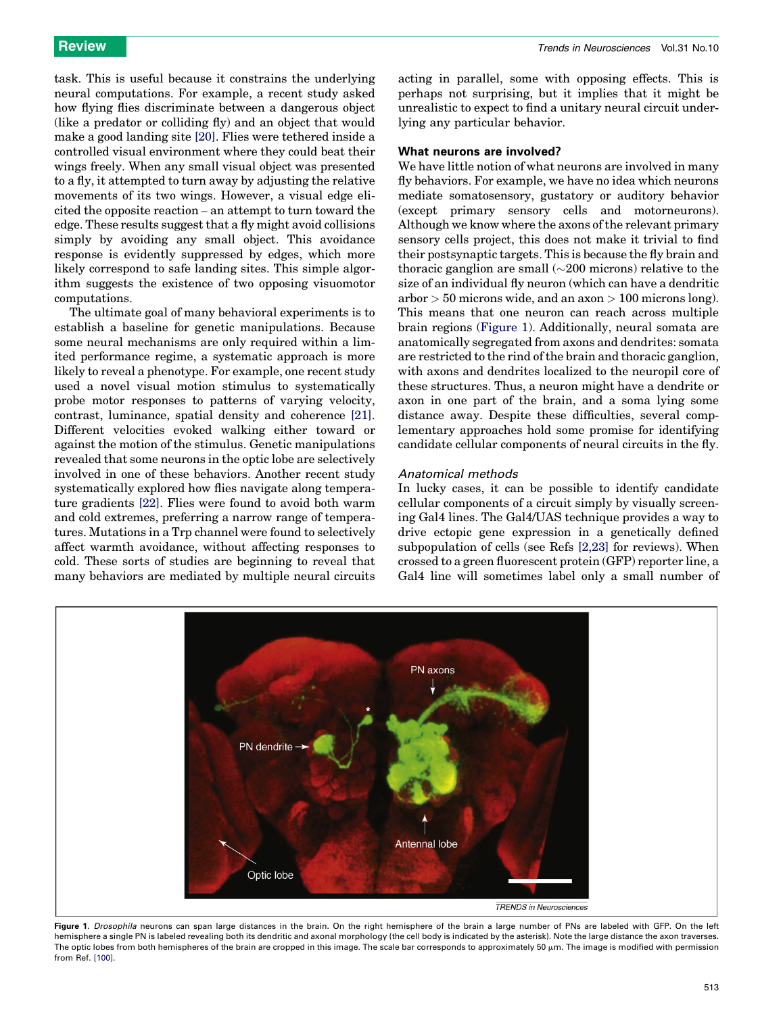task. This is useful because it constrains the underlying neural computations. For example, a recent study asked how flying flies discriminate between a dangerous object (like a predator or colliding fly) and an object that would make a good landing site [\[20\].](#page-6-0) Flies were tethered inside a controlled visual environment where they could beat their wings freely. When any small visual object was presented to a fly, it attempted to turn away by adjusting the relative movements of its two wings. However, a visual edge elicited the opposite reaction – an attempt to turn toward the edge. These results suggest that a fly might avoid collisions simply by avoiding any small object. This avoidance response is evidently suppressed by edges, which more likely correspond to safe landing sites. This simple algorithm suggests the existence of two opposing visuomotor computations.

The ultimate goal of many behavioral experiments is to establish a baseline for genetic manipulations. Because some neural mechanisms are only required within a limited performance regime, a systematic approach is more likely to reveal a phenotype. For example, one recent study used a novel visual motion stimulus to systematically probe motor responses to patterns of varying velocity, contrast, luminance, spatial density and coherence [\[21\]](#page-6-0). Different velocities evoked walking either toward or against the motion of the stimulus. Genetic manipulations revealed that some neurons in the optic lobe are selectively involved in one of these behaviors. Another recent study systematically explored how flies navigate along temperature gradients [\[22\]](#page-6-0). Flies were found to avoid both warm and cold extremes, preferring a narrow range of temperatures. Mutations in a Trp channel were found to selectively affect warmth avoidance, without affecting responses to cold. These sorts of studies are beginning to reveal that many behaviors are mediated by multiple neural circuits

acting in parallel, some with opposing effects. This is perhaps not surprising, but it implies that it might be unrealistic to expect to find a unitary neural circuit underlying any particular behavior.

### What neurons are involved?

We have little notion of what neurons are involved in many fly behaviors. For example, we have no idea which neurons mediate somatosensory, gustatory or auditory behavior (except primary sensory cells and motorneurons). Although we know where the axons of the relevant primary sensory cells project, this does not make it trivial to find their postsynaptic targets. This is because the fly brain and thoracic ganglion are small  $(\sim 200$  microns) relative to the size of an individual fly neuron (which can have a dendritic  $arbor > 50$  microns wide, and an axon  $> 100$  microns long). This means that one neuron can reach across multiple brain regions (Figure 1). Additionally, neural somata are anatomically segregated from axons and dendrites: somata are restricted to the rind of the brain and thoracic ganglion, with axons and dendrites localized to the neuropil core of these structures. Thus, a neuron might have a dendrite or axon in one part of the brain, and a soma lying some distance away. Despite these difficulties, several complementary approaches hold some promise for identifying candidate cellular components of neural circuits in the fly.

### Anatomical methods

In lucky cases, it can be possible to identify candidate cellular components of a circuit simply by visually screening Gal4 lines. The Gal4/UAS technique provides a way to drive ectopic gene expression in a genetically defined subpopulation of cells (see Refs [\[2,23\]](#page-6-0) for reviews). When crossed to a green fluorescent protein (GFP) reporter line, a Gal4 line will sometimes label only a small number of



Figure 1. Drosophila neurons can span large distances in the brain. On the right hemisphere of the brain a large number of PNs are labeled with GFP. On the left hemisphere a single PN is labeled revealing both its dendritic and axonal morphology (the cell body is indicated by the asterisk). Note the large distance the axon traverses. The optic lobes from both hemispheres of the brain are cropped in this image. The scale bar corresponds to approximately 50  $\mu$ m. The image is modified with permission from Ref. [\[100\]](#page-8-0).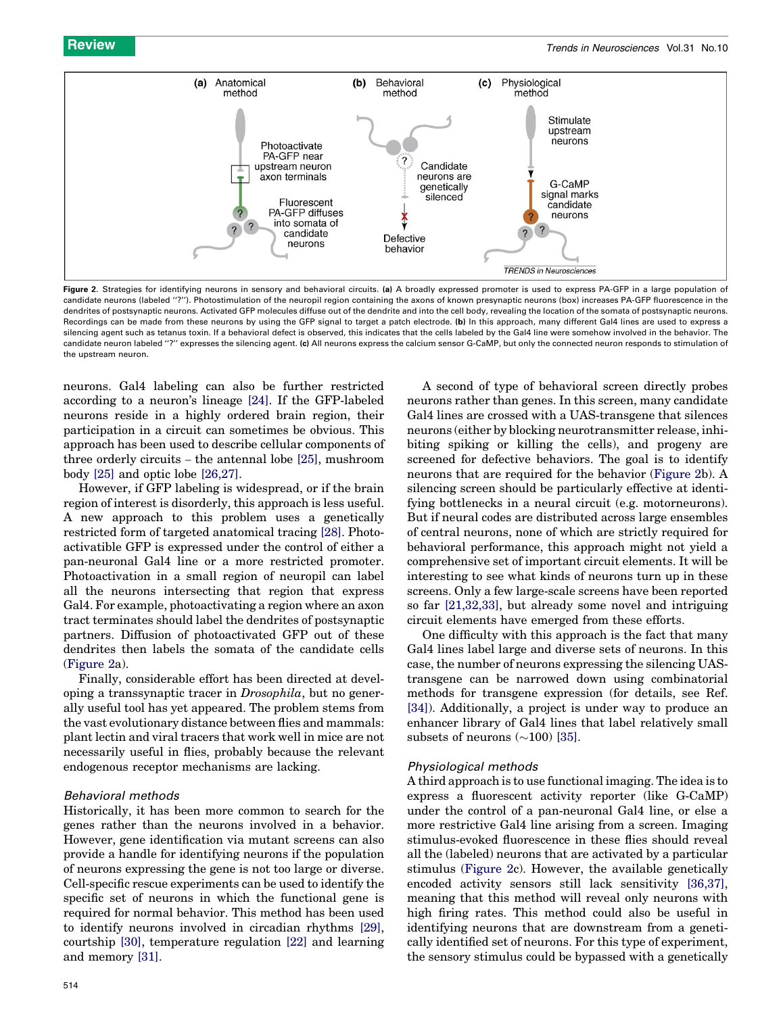

Figure 2. Strategies for identifying neurons in sensory and behavioral circuits. (a) A broadly expressed promoter is used to express PA-GFP in a large population of candidate neurons (labeled "?"). Photostimulation of the neuropil region containing the axons of known presynaptic neurons (box) increases PA-GFP fluorescence in the dendrites of postsynaptic neurons. Activated GFP molecules diffuse out of the dendrite and into the cell body, revealing the location of the somata of postsynaptic neurons. Recordings can be made from these neurons by using the GFP signal to target a patch electrode. (b) In this approach, many different Gal4 lines are used to express a silencing agent such as tetanus toxin. If a behavioral defect is observed, this indicates that the cells labeled by the Gal4 line were somehow involved in the behavior. The candidate neuron labeled "?" expresses the silencing agent. (c) All neurons express the calcium sensor G-CaMP, but only the connected neuron responds to stimulation of the upstream neuron.

neurons. Gal4 labeling can also be further restricted according to a neuron's lineage [\[24\]](#page-6-0). If the GFP-labeled neurons reside in a highly ordered brain region, their participation in a circuit can sometimes be obvious. This approach has been used to describe cellular components of three orderly circuits – the antennal lobe [\[25\],](#page-6-0) mushroom body [\[25\]](#page-6-0) and optic lobe [\[26,27\].](#page-6-0)

However, if GFP labeling is widespread, or if the brain region of interest is disorderly, this approach is less useful. A new approach to this problem uses a genetically restricted form of targeted anatomical tracing [\[28\]](#page-6-0). Photoactivatible GFP is expressed under the control of either a pan-neuronal Gal4 line or a more restricted promoter. Photoactivation in a small region of neuropil can label all the neurons intersecting that region that express Gal4. For example, photoactivating a region where an axon tract terminates should label the dendrites of postsynaptic partners. Diffusion of photoactivated GFP out of these dendrites then labels the somata of the candidate cells (Figure 2a).

Finally, considerable effort has been directed at developing a transsynaptic tracer in Drosophila, but no generally useful tool has yet appeared. The problem stems from the vast evolutionary distance between flies and mammals: plant lectin and viral tracers that work well in mice are not necessarily useful in flies, probably because the relevant endogenous receptor mechanisms are lacking.

### Behavioral methods

Historically, it has been more common to search for the genes rather than the neurons involved in a behavior. However, gene identification via mutant screens can also provide a handle for identifying neurons if the population of neurons expressing the gene is not too large or diverse. Cell-specific rescue experiments can be used to identify the specific set of neurons in which the functional gene is required for normal behavior. This method has been used to identify neurons involved in circadian rhythms [\[29\]](#page-6-0), courtship [\[30\],](#page-6-0) temperature regulation [\[22\]](#page-6-0) and learning and memory [\[31\]](#page-6-0).

neurons rather than genes. In this screen, many candidate Gal4 lines are crossed with a UAS-transgene that silences neurons (either by blocking neurotransmitter release, inhibiting spiking or killing the cells), and progeny are screened for defective behaviors. The goal is to identify neurons that are required for the behavior (Figure 2b). A silencing screen should be particularly effective at identifying bottlenecks in a neural circuit (e.g. motorneurons). But if neural codes are distributed across large ensembles of central neurons, none of which are strictly required for behavioral performance, this approach might not yield a comprehensive set of important circuit elements. It will be interesting to see what kinds of neurons turn up in these screens. Only a few large-scale screens have been reported so far [\[21,32,33\],](#page-6-0) but already some novel and intriguing circuit elements have emerged from these efforts.

A second of type of behavioral screen directly probes

One difficulty with this approach is the fact that many Gal4 lines label large and diverse sets of neurons. In this case, the number of neurons expressing the silencing UAStransgene can be narrowed down using combinatorial methods for transgene expression (for details, see Ref. [\[34\]](#page-6-0)). Additionally, a project is under way to produce an enhancer library of Gal4 lines that label relatively small subsets of neurons  $(\sim 100)$  [\[35\]](#page-6-0).

# Physiological methods

A third approach is to use functional imaging. The idea is to express a fluorescent activity reporter (like G-CaMP) under the control of a pan-neuronal Gal4 line, or else a more restrictive Gal4 line arising from a screen. Imaging stimulus-evoked fluorescence in these flies should reveal all the (labeled) neurons that are activated by a particular stimulus (Figure 2c). However, the available genetically encoded activity sensors still lack sensitivity [\[36,37\]](#page-7-0), meaning that this method will reveal only neurons with high firing rates. This method could also be useful in identifying neurons that are downstream from a genetically identified set of neurons. For this type of experiment, the sensory stimulus could be bypassed with a genetically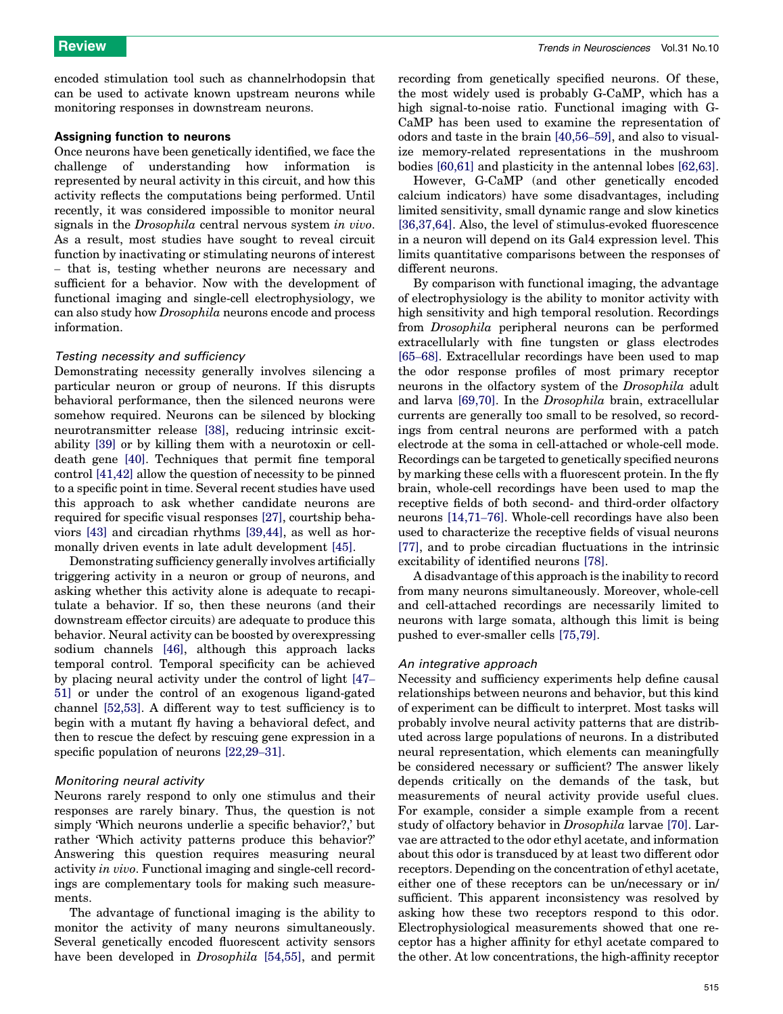encoded stimulation tool such as channelrhodopsin that can be used to activate known upstream neurons while monitoring responses in downstream neurons.

#### Assigning function to neurons

Once neurons have been genetically identified, we face the challenge of understanding how information is represented by neural activity in this circuit, and how this activity reflects the computations being performed. Until recently, it was considered impossible to monitor neural signals in the Drosophila central nervous system in vivo. As a result, most studies have sought to reveal circuit function by inactivating or stimulating neurons of interest – that is, testing whether neurons are necessary and sufficient for a behavior. Now with the development of functional imaging and single-cell electrophysiology, we can also study how Drosophila neurons encode and process information.

#### Testing necessity and sufficiency

Demonstrating necessity generally involves silencing a particular neuron or group of neurons. If this disrupts behavioral performance, then the silenced neurons were somehow required. Neurons can be silenced by blocking neurotransmitter release [\[38\],](#page-7-0) reducing intrinsic excitability [\[39\]](#page-7-0) or by killing them with a neurotoxin or celldeath gene [\[40\].](#page-7-0) Techniques that permit fine temporal control [\[41,42\]](#page-7-0) allow the question of necessity to be pinned to a specific point in time. Several recent studies have used this approach to ask whether candidate neurons are required for specific visual responses [\[27\]](#page-6-0), courtship behaviors [\[43\]](#page-7-0) and circadian rhythms [\[39,44\],](#page-7-0) as well as hormonally driven events in late adult development [\[45\].](#page-7-0)

Demonstrating sufficiency generally involves artificially triggering activity in a neuron or group of neurons, and asking whether this activity alone is adequate to recapitulate a behavior. If so, then these neurons (and their downstream effector circuits) are adequate to produce this behavior. Neural activity can be boosted by overexpressing sodium channels [\[46\],](#page-7-0) although this approach lacks temporal control. Temporal specificity can be achieved by placing neural activity under the control of light [\[47](#page-7-0)– [51\]](#page-7-0) or under the control of an exogenous ligand-gated channel [\[52,53\]](#page-7-0). A different way to test sufficiency is to begin with a mutant fly having a behavioral defect, and then to rescue the defect by rescuing gene expression in a specific population of neurons [\[22,29](#page-6-0)–31].

#### Monitoring neural activity

Neurons rarely respond to only one stimulus and their responses are rarely binary. Thus, the question is not simply 'Which neurons underlie a specific behavior?,' but rather 'Which activity patterns produce this behavior?' Answering this question requires measuring neural activity in vivo. Functional imaging and single-cell recordings are complementary tools for making such measurements.

The advantage of functional imaging is the ability to monitor the activity of many neurons simultaneously. Several genetically encoded fluorescent activity sensors have been developed in *Drosophila* [\[54,55\]](#page-7-0), and permit

recording from genetically specified neurons. Of these, the most widely used is probably G-CaMP, which has a high signal-to-noise ratio. Functional imaging with G-CaMP has been used to examine the representation of odors and taste in the brain [\[40,56](#page-7-0)–59], and also to visualize memory-related representations in the mushroom bodies [\[60,61\]](#page-7-0) and plasticity in the antennal lobes [\[62,63\]](#page-7-0).

However, G-CaMP (and other genetically encoded calcium indicators) have some disadvantages, including limited sensitivity, small dynamic range and slow kinetics [\[36,37,64\]](#page-7-0). Also, the level of stimulus-evoked fluorescence in a neuron will depend on its Gal4 expression level. This limits quantitative comparisons between the responses of different neurons.

By comparison with functional imaging, the advantage of electrophysiology is the ability to monitor activity with high sensitivity and high temporal resolution. Recordings from Drosophila peripheral neurons can be performed extracellularly with fine tungsten or glass electrodes [65–[68\]](#page-7-0). Extracellular recordings have been used to map the odor response profiles of most primary receptor neurons in the olfactory system of the Drosophila adult and larva [\[69,70\].](#page-7-0) In the Drosophila brain, extracellular currents are generally too small to be resolved, so recordings from central neurons are performed with a patch electrode at the soma in cell-attached or whole-cell mode. Recordings can be targeted to genetically specified neurons by marking these cells with a fluorescent protein. In the fly brain, whole-cell recordings have been used to map the receptive fields of both second- and third-order olfactory neurons [\[14,71](#page-6-0)–76]. Whole-cell recordings have also been used to characterize the receptive fields of visual neurons [\[77\]](#page-7-0), and to probe circadian fluctuations in the intrinsic excitability of identified neurons [\[78\]](#page-7-0).

A disadvantage of this approach is the inability to record from many neurons simultaneously. Moreover, whole-cell and cell-attached recordings are necessarily limited to neurons with large somata, although this limit is being pushed to ever-smaller cells [\[75,79\].](#page-7-0)

#### An integrative approach

Necessity and sufficiency experiments help define causal relationships between neurons and behavior, but this kind of experiment can be difficult to interpret. Most tasks will probably involve neural activity patterns that are distributed across large populations of neurons. In a distributed neural representation, which elements can meaningfully be considered necessary or sufficient? The answer likely depends critically on the demands of the task, but measurements of neural activity provide useful clues. For example, consider a simple example from a recent study of olfactory behavior in Drosophila larvae [\[70\].](#page-7-0) Larvae are attracted to the odor ethyl acetate, and information about this odor is transduced by at least two different odor receptors. Depending on the concentration of ethyl acetate, either one of these receptors can be un/necessary or in/ sufficient. This apparent inconsistency was resolved by asking how these two receptors respond to this odor. Electrophysiological measurements showed that one receptor has a higher affinity for ethyl acetate compared to the other. At low concentrations, the high-affinity receptor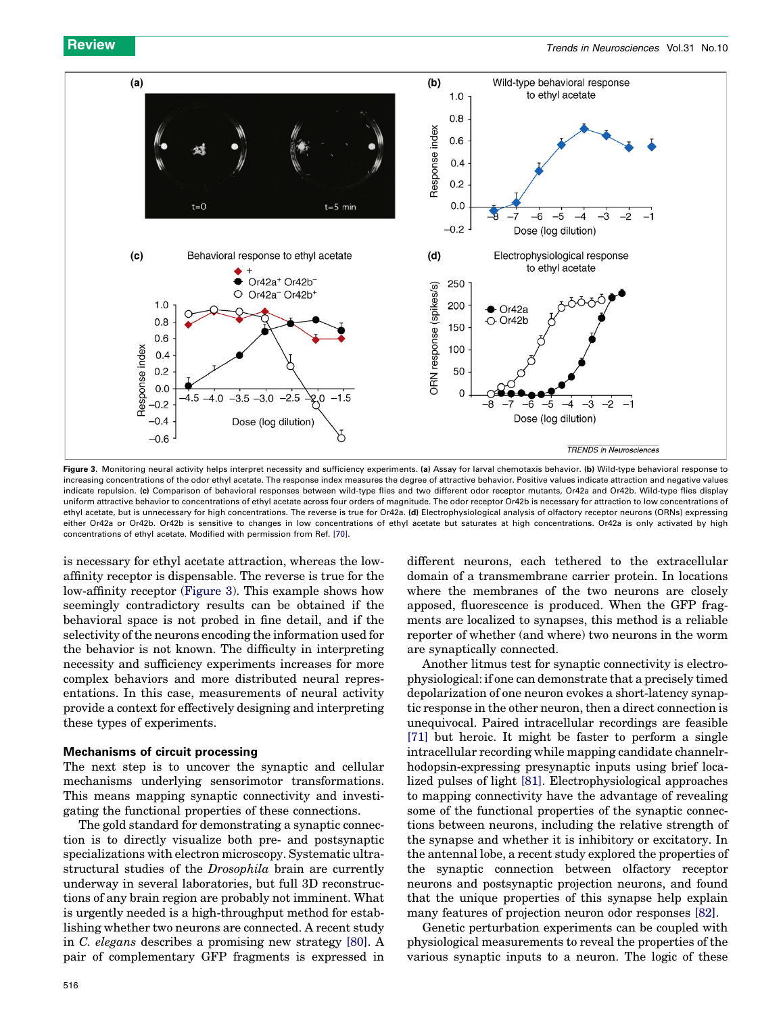

Figure 3. Monitoring neural activity helps interpret necessity and sufficiency experiments. (a) Assay for larval chemotaxis behavior. (b) Wild-type behavioral response to increasing concentrations of the odor ethyl acetate. The response index measures the degree of attractive behavior. Positive values indicate attraction and negative values indicate repulsion. (c) Comparison of behavioral responses between wild-type flies and two different odor receptor mutants, Or42a and Or42b. Wild-type flies display uniform attractive behavior to concentrations of ethyl acetate across four orders of magnitude. The odor receptor Or42b is necessary for attraction to low concentrations of ethyl acetate, but is unnecessary for high concentrations. The reverse is true for Or42a. (d) Electrophysiological analysis of olfactory receptor neurons (ORNs) expressing either Or42a or Or42b. Or42b is sensitive to changes in low concentrations of ethyl acetate but saturates at high concentrations. Or42a is only activated by high concentrations of ethyl acetate. Modified with permission from Ref. [\[70\]](#page-7-0).

is necessary for ethyl acetate attraction, whereas the lowaffinity receptor is dispensable. The reverse is true for the low-affinity receptor (Figure 3). This example shows how seemingly contradictory results can be obtained if the behavioral space is not probed in fine detail, and if the selectivity of the neurons encoding the information used for the behavior is not known. The difficulty in interpreting necessity and sufficiency experiments increases for more complex behaviors and more distributed neural representations. In this case, measurements of neural activity provide a context for effectively designing and interpreting these types of experiments.

#### Mechanisms of circuit processing

The next step is to uncover the synaptic and cellular mechanisms underlying sensorimotor transformations. This means mapping synaptic connectivity and investigating the functional properties of these connections.

The gold standard for demonstrating a synaptic connection is to directly visualize both pre- and postsynaptic specializations with electron microscopy. Systematic ultrastructural studies of the Drosophila brain are currently underway in several laboratories, but full 3D reconstructions of any brain region are probably not imminent. What is urgently needed is a high-throughput method for establishing whether two neurons are connected. A recent study in C. elegans describes a promising new strategy [\[80\].](#page-7-0) A pair of complementary GFP fragments is expressed in different neurons, each tethered to the extracellular domain of a transmembrane carrier protein. In locations where the membranes of the two neurons are closely apposed, fluorescence is produced. When the GFP fragments are localized to synapses, this method is a reliable reporter of whether (and where) two neurons in the worm are synaptically connected.

Another litmus test for synaptic connectivity is electrophysiological: if one can demonstrate that a precisely timed depolarization of one neuron evokes a short-latency synaptic response in the other neuron, then a direct connection is unequivocal. Paired intracellular recordings are feasible [\[71\]](#page-7-0) but heroic. It might be faster to perform a single intracellular recording while mapping candidate channelrhodopsin-expressing presynaptic inputs using brief localized pulses of light [\[81\]](#page-7-0). Electrophysiological approaches to mapping connectivity have the advantage of revealing some of the functional properties of the synaptic connections between neurons, including the relative strength of the synapse and whether it is inhibitory or excitatory. In the antennal lobe, a recent study explored the properties of the synaptic connection between olfactory receptor neurons and postsynaptic projection neurons, and found that the unique properties of this synapse help explain many features of projection neuron odor responses [\[82\]](#page-7-0).

Genetic perturbation experiments can be coupled with physiological measurements to reveal the properties of the various synaptic inputs to a neuron. The logic of these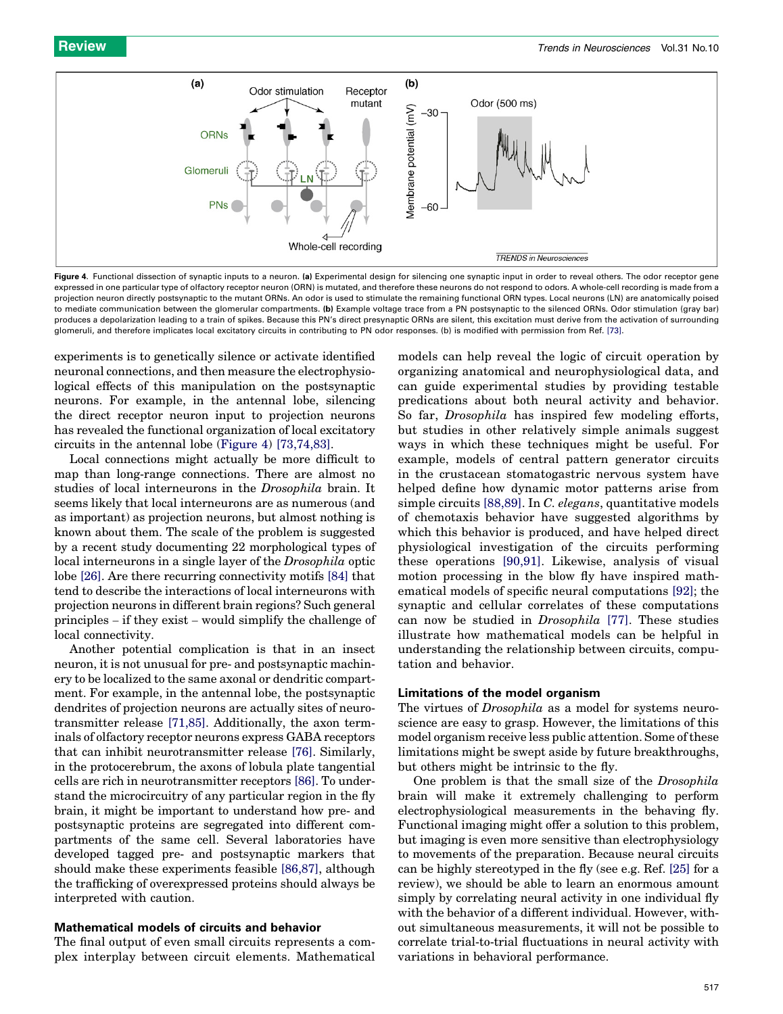

Figure 4. Functional dissection of synaptic inputs to a neuron. (a) Experimental design for silencing one synaptic input in order to reveal others. The odor receptor gene expressed in one particular type of olfactory receptor neuron (ORN) is mutated, and therefore these neurons do not respond to odors. A whole-cell recording is made from a projection neuron directly postsynaptic to the mutant ORNs. An odor is used to stimulate the remaining functional ORN types. Local neurons (LN) are anatomically poised to mediate communication between the glomerular compartments. (b) Example voltage trace from a PN postsynaptic to the silenced ORNs. Odor stimulation (gray bar) produces a depolarization leading to a train of spikes. Because this PN's direct presynaptic ORNs are silent, this excitation must derive from the activation of surrounding glomeruli, and therefore implicates local excitatory circuits in contributing to PN odor responses. (b) is modified with permission from Ref. [\[73\]](#page-7-0).

experiments is to genetically silence or activate identified neuronal connections, and then measure the electrophysiological effects of this manipulation on the postsynaptic neurons. For example, in the antennal lobe, silencing the direct receptor neuron input to projection neurons has revealed the functional organization of local excitatory circuits in the antennal lobe (Figure 4) [\[73,74,83\].](#page-7-0)

Local connections might actually be more difficult to map than long-range connections. There are almost no studies of local interneurons in the Drosophila brain. It seems likely that local interneurons are as numerous (and as important) as projection neurons, but almost nothing is known about them. The scale of the problem is suggested by a recent study documenting 22 morphological types of local interneurons in a single layer of the Drosophila optic lobe [\[26\]](#page-6-0). Are there recurring connectivity motifs [\[84\]](#page-7-0) that tend to describe the interactions of local interneurons with projection neurons in different brain regions? Such general principles – if they exist – would simplify the challenge of local connectivity.

Another potential complication is that in an insect neuron, it is not unusual for pre- and postsynaptic machinery to be localized to the same axonal or dendritic compartment. For example, in the antennal lobe, the postsynaptic dendrites of projection neurons are actually sites of neurotransmitter release [\[71,85\].](#page-7-0) Additionally, the axon terminals of olfactory receptor neurons express GABA receptors that can inhibit neurotransmitter release [\[76\].](#page-7-0) Similarly, in the protocerebrum, the axons of lobula plate tangential cells are rich in neurotransmitter receptors [\[86\].](#page-7-0) To understand the microcircuitry of any particular region in the fly brain, it might be important to understand how pre- and postsynaptic proteins are segregated into different compartments of the same cell. Several laboratories have developed tagged pre- and postsynaptic markers that should make these experiments feasible [\[86,87\]](#page-7-0), although the trafficking of overexpressed proteins should always be interpreted with caution.

# Mathematical models of circuits and behavior

The final output of even small circuits represents a complex interplay between circuit elements. Mathematical

models can help reveal the logic of circuit operation by organizing anatomical and neurophysiological data, and can guide experimental studies by providing testable predications about both neural activity and behavior. So far, Drosophila has inspired few modeling efforts, but studies in other relatively simple animals suggest ways in which these techniques might be useful. For example, models of central pattern generator circuits in the crustacean stomatogastric nervous system have helped define how dynamic motor patterns arise from simple circuits [\[88,89\]](#page-7-0). In C. elegans, quantitative models of chemotaxis behavior have suggested algorithms by which this behavior is produced, and have helped direct physiological investigation of the circuits performing these operations [\[90,91\]](#page-7-0). Likewise, analysis of visual motion processing in the blow fly have inspired mathematical models of specific neural computations [\[92\];](#page-8-0) the synaptic and cellular correlates of these computations can now be studied in Drosophila [\[77\].](#page-7-0) These studies illustrate how mathematical models can be helpful in understanding the relationship between circuits, computation and behavior.

# Limitations of the model organism

The virtues of Drosophila as a model for systems neuroscience are easy to grasp. However, the limitations of this model organism receive less public attention. Some of these limitations might be swept aside by future breakthroughs, but others might be intrinsic to the fly.

One problem is that the small size of the Drosophila brain will make it extremely challenging to perform electrophysiological measurements in the behaving fly. Functional imaging might offer a solution to this problem, but imaging is even more sensitive than electrophysiology to movements of the preparation. Because neural circuits can be highly stereotyped in the fly (see e.g. Ref. [\[25\]](#page-6-0) for a review), we should be able to learn an enormous amount simply by correlating neural activity in one individual fly with the behavior of a different individual. However, without simultaneous measurements, it will not be possible to correlate trial-to-trial fluctuations in neural activity with variations in behavioral performance.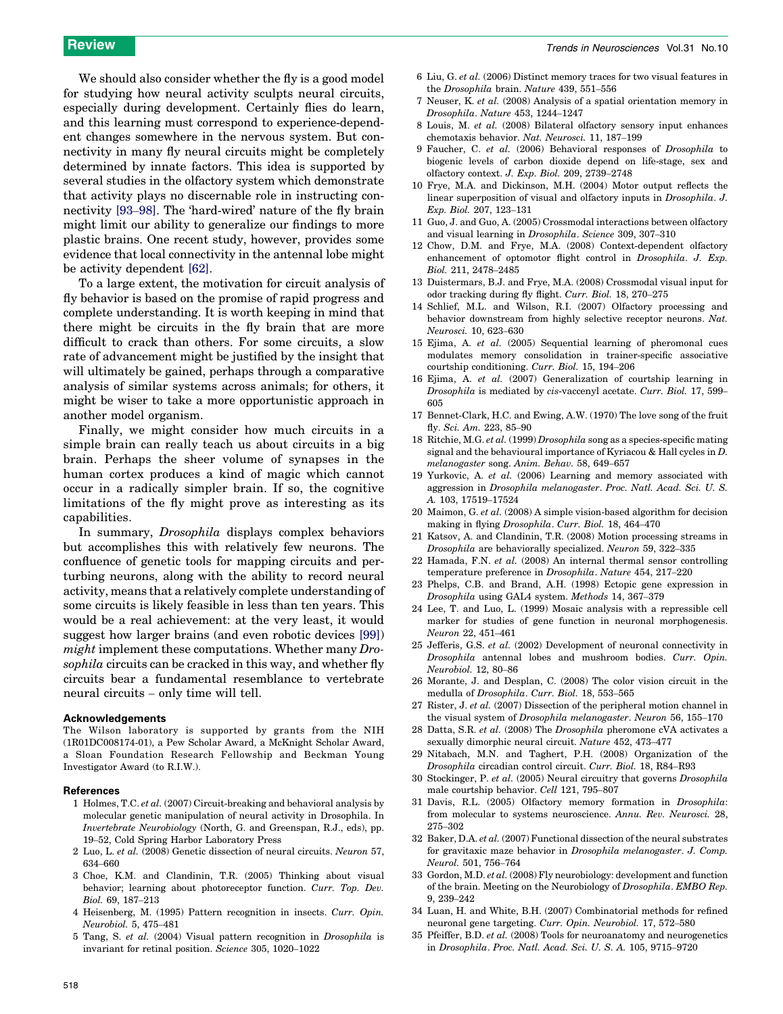<span id="page-6-0"></span>We should also consider whether the fly is a good model for studying how neural activity sculpts neural circuits, especially during development. Certainly flies do learn, and this learning must correspond to experience-dependent changes somewhere in the nervous system. But connectivity in many fly neural circuits might be completely determined by innate factors. This idea is supported by several studies in the olfactory system which demonstrate that activity plays no discernable role in instructing connectivity [93–[98\]](#page-8-0). The 'hard-wired' nature of the fly brain might limit our ability to generalize our findings to more plastic brains. One recent study, however, provides some evidence that local connectivity in the antennal lobe might be activity dependent [\[62\].](#page-7-0)

To a large extent, the motivation for circuit analysis of fly behavior is based on the promise of rapid progress and complete understanding. It is worth keeping in mind that there might be circuits in the fly brain that are more difficult to crack than others. For some circuits, a slow rate of advancement might be justified by the insight that will ultimately be gained, perhaps through a comparative analysis of similar systems across animals; for others, it might be wiser to take a more opportunistic approach in another model organism.

Finally, we might consider how much circuits in a simple brain can really teach us about circuits in a big brain. Perhaps the sheer volume of synapses in the human cortex produces a kind of magic which cannot occur in a radically simpler brain. If so, the cognitive limitations of the fly might prove as interesting as its capabilities.

In summary, Drosophila displays complex behaviors but accomplishes this with relatively few neurons. The confluence of genetic tools for mapping circuits and perturbing neurons, along with the ability to record neural activity, means that a relatively complete understanding of some circuits is likely feasible in less than ten years. This would be a real achievement: at the very least, it would suggest how larger brains (and even robotic devices [\[99\]\)](#page-8-0) might implement these computations. Whether many Drosophila circuits can be cracked in this way, and whether fly circuits bear a fundamental resemblance to vertebrate neural circuits – only time will tell.

#### Acknowledgements

The Wilson laboratory is supported by grants from the NIH (1R01DC008174-01), a Pew Scholar Award, a McKnight Scholar Award, a Sloan Foundation Research Fellowship and Beckman Young Investigator Award (to R.I.W.).

#### References

- 1 Holmes, T.C. et al. (2007) Circuit-breaking and behavioral analysis by molecular genetic manipulation of neural activity in Drosophila. In Invertebrate Neurobiology (North, G. and Greenspan, R.J., eds), pp. 19–52, Cold Spring Harbor Laboratory Press
- 2 Luo, L. et al. (2008) Genetic dissection of neural circuits. Neuron 57, 634–660
- 3 Choe, K.M. and Clandinin, T.R. (2005) Thinking about visual behavior; learning about photoreceptor function. Curr. Top. Dev. Biol. 69, 187–213
- 4 Heisenberg, M. (1995) Pattern recognition in insects. Curr. Opin. Neurobiol. 5, 475–481
- 5 Tang, S. et al. (2004) Visual pattern recognition in Drosophila is invariant for retinal position. Science 305, 1020–1022
- 6 Liu, G. et al. (2006) Distinct memory traces for two visual features in the Drosophila brain. Nature 439, 551–556
- 7 Neuser, K. et al. (2008) Analysis of a spatial orientation memory in Drosophila. Nature 453, 1244–1247
- 8 Louis, M. et al. (2008) Bilateral olfactory sensory input enhances chemotaxis behavior. Nat. Neurosci. 11, 187–199
- 9 Faucher, C. et al. (2006) Behavioral responses of Drosophila to biogenic levels of carbon dioxide depend on life-stage, sex and olfactory context. J. Exp. Biol. 209, 2739–2748
- 10 Frye, M.A. and Dickinson, M.H. (2004) Motor output reflects the linear superposition of visual and olfactory inputs in Drosophila. J. Exp. Biol. 207, 123–131
- 11 Guo, J. and Guo, A. (2005) Crossmodal interactions between olfactory and visual learning in Drosophila. Science 309, 307–310
- 12 Chow, D.M. and Frye, M.A. (2008) Context-dependent olfactory enhancement of optomotor flight control in Drosophila. J. Exp. Biol. 211, 2478–2485
- 13 Duistermars, B.J. and Frye, M.A. (2008) Crossmodal visual input for odor tracking during fly flight. Curr. Biol. 18, 270–275
- 14 Schlief, M.L. and Wilson, R.I. (2007) Olfactory processing and behavior downstream from highly selective receptor neurons. Nat. Neurosci. 10, 623–630
- 15 Ejima, A. et al. (2005) Sequential learning of pheromonal cues modulates memory consolidation in trainer-specific associative courtship conditioning. Curr. Biol. 15, 194–206
- 16 Ejima, A. et al. (2007) Generalization of courtship learning in Drosophila is mediated by cis-vaccenyl acetate. Curr. Biol. 17, 599– 605
- 17 Bennet-Clark, H.C. and Ewing, A.W. (1970) The love song of the fruit fly. Sci. Am. 223, 85–90
- 18 Ritchie, M.G. et al. (1999) Drosophila song as a species-specific mating signal and the behavioural importance of Kyriacou & Hall cycles in D. melanogaster song. Anim. Behav. 58, 649–657
- 19 Yurkovic, A. et al. (2006) Learning and memory associated with aggression in Drosophila melanogaster. Proc. Natl. Acad. Sci. U. S. A. 103, 17519–17524
- 20 Maimon, G. et al. (2008) A simple vision-based algorithm for decision making in flying Drosophila. Curr. Biol. 18, 464–470
- 21 Katsov, A. and Clandinin, T.R. (2008) Motion processing streams in Drosophila are behaviorally specialized. Neuron 59, 322–335
- 22 Hamada, F.N. et al. (2008) An internal thermal sensor controlling temperature preference in Drosophila. Nature 454, 217–220
- 23 Phelps, C.B. and Brand, A.H. (1998) Ectopic gene expression in Drosophila using GAL4 system. Methods 14, 367–379
- 24 Lee, T. and Luo, L. (1999) Mosaic analysis with a repressible cell marker for studies of gene function in neuronal morphogenesis. Neuron 22, 451–461
- 25 Jefferis, G.S. et al. (2002) Development of neuronal connectivity in Drosophila antennal lobes and mushroom bodies. Curr. Opin. Neurobiol. 12, 80–86
- 26 Morante, J. and Desplan, C. (2008) The color vision circuit in the medulla of Drosophila. Curr. Biol. 18, 553–565
- 27 Rister, J. et al. (2007) Dissection of the peripheral motion channel in the visual system of Drosophila melanogaster. Neuron 56, 155–170
- 28 Datta, S.R. et al. (2008) The Drosophila pheromone cVA activates a sexually dimorphic neural circuit. Nature 452, 473–477
- 29 Nitabach, M.N. and Taghert, P.H. (2008) Organization of the Drosophila circadian control circuit. Curr. Biol. 18, R84–R93
- 30 Stockinger, P. et al. (2005) Neural circuitry that governs Drosophila male courtship behavior. Cell 121, 795–807
- 31 Davis, R.L. (2005) Olfactory memory formation in Drosophila: from molecular to systems neuroscience. Annu. Rev. Neurosci. 28, 275–302
- 32 Baker, D.A. et al. (2007) Functional dissection of the neural substrates for gravitaxic maze behavior in Drosophila melanogaster. J. Comp. Neurol. 501, 756–764
- 33 Gordon, M.D. et al. (2008) Fly neurobiology: development and function of the brain. Meeting on the Neurobiology of Drosophila. EMBO Rep. 9, 239–242
- 34 Luan, H. and White, B.H. (2007) Combinatorial methods for refined neuronal gene targeting. Curr. Opin. Neurobiol. 17, 572–580
- 35 Pfeiffer, B.D. et al. (2008) Tools for neuroanatomy and neurogenetics in Drosophila. Proc. Natl. Acad. Sci. U. S. A. 105, 9715–9720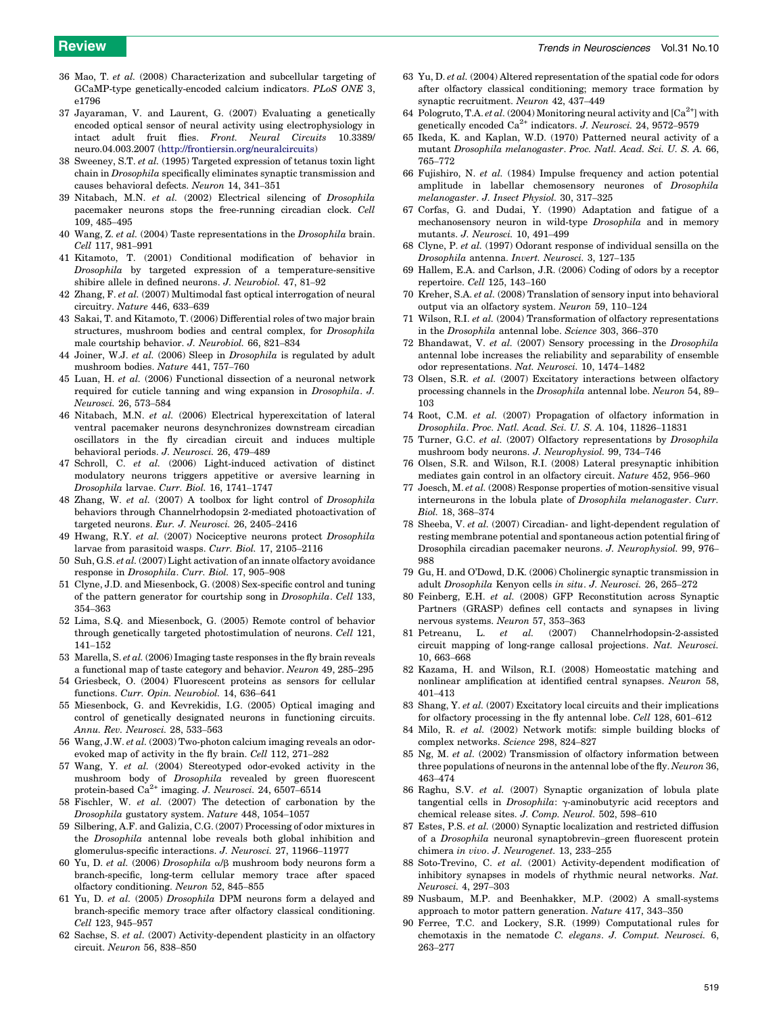- <span id="page-7-0"></span>36 Mao, T. et al. (2008) Characterization and subcellular targeting of GCaMP-type genetically-encoded calcium indicators. PLoS ONE 3, e1796
- 37 Jayaraman, V. and Laurent, G. (2007) Evaluating a genetically encoded optical sensor of neural activity using electrophysiology in intact adult fruit flies. Front. Neural Circuits 10.3389/ neuro.04.003.2007 [\(http://frontiersin.org/neuralcircuits](http://frontiersin.org/neuralcircuits))
- 38 Sweeney, S.T. et al. (1995) Targeted expression of tetanus toxin light chain in Drosophila specifically eliminates synaptic transmission and causes behavioral defects. Neuron 14, 341–351
- 39 Nitabach, M.N. et al. (2002) Electrical silencing of Drosophila pacemaker neurons stops the free-running circadian clock. Cell 109, 485–495
- 40 Wang, Z. et al. (2004) Taste representations in the Drosophila brain. Cell 117, 981–991
- 41 Kitamoto, T. (2001) Conditional modification of behavior in Drosophila by targeted expression of a temperature-sensitive shibire allele in defined neurons. J. Neurobiol. 47, 81–92
- 42 Zhang, F. et al. (2007) Multimodal fast optical interrogation of neural circuitry. Nature 446, 633–639
- 43 Sakai, T. and Kitamoto, T. (2006) Differential roles of two major brain structures, mushroom bodies and central complex, for Drosophila male courtship behavior. J. Neurobiol. 66, 821–834
- 44 Joiner, W.J. et al. (2006) Sleep in Drosophila is regulated by adult mushroom bodies. Nature 441, 757–760
- 45 Luan, H. et al. (2006) Functional dissection of a neuronal network required for cuticle tanning and wing expansion in Drosophila. J. Neurosci. 26, 573–584
- 46 Nitabach, M.N. et al. (2006) Electrical hyperexcitation of lateral ventral pacemaker neurons desynchronizes downstream circadian oscillators in the fly circadian circuit and induces multiple behavioral periods. J. Neurosci. 26, 479–489
- 47 Schroll, C. et al. (2006) Light-induced activation of distinct modulatory neurons triggers appetitive or aversive learning in Drosophila larvae. Curr. Biol. 16, 1741–1747
- 48 Zhang, W. et al. (2007) A toolbox for light control of Drosophila behaviors through Channelrhodopsin 2-mediated photoactivation of targeted neurons. Eur. J. Neurosci. 26, 2405–2416
- 49 Hwang, R.Y. et al. (2007) Nociceptive neurons protect Drosophila larvae from parasitoid wasps. Curr. Biol. 17, 2105–2116
- Suh, G.S. et al. (2007) Light activation of an innate olfactory avoidance response in Drosophila. Curr. Biol. 17, 905–908
- 51 Clyne, J.D. and Miesenbock, G. (2008) Sex-specific control and tuning of the pattern generator for courtship song in Drosophila. Cell 133, 354–363
- 52 Lima, S.Q. and Miesenbock, G. (2005) Remote control of behavior through genetically targeted photostimulation of neurons. Cell 121, 141–152
- 53 Marella, S. et al. (2006) Imaging taste responses in the fly brain reveals a functional map of taste category and behavior. Neuron 49, 285–295
- Griesbeck, O. (2004) Fluorescent proteins as sensors for cellular functions. Curr. Opin. Neurobiol. 14, 636–641
- 55 Miesenbock, G. and Kevrekidis, I.G. (2005) Optical imaging and control of genetically designated neurons in functioning circuits. Annu. Rev. Neurosci. 28, 533–563
- 56 Wang, J.W. et al. (2003) Two-photon calcium imaging reveals an odorevoked map of activity in the fly brain. Cell 112, 271–282
- 57 Wang, Y. et al. (2004) Stereotyped odor-evoked activity in the mushroom body of Drosophila revealed by green fluorescent protein-based Ca<sup>2+</sup> imaging. J. Neurosci. 24, 6507-6514
- 58 Fischler, W. et al. (2007) The detection of carbonation by the Drosophila gustatory system. Nature 448, 1054–1057
- 59 Silbering, A.F. and Galizia, C.G. (2007) Processing of odor mixtures in the Drosophila antennal lobe reveals both global inhibition and glomerulus-specific interactions. J. Neurosci. 27, 11966–11977
- 60 Yu, D. et al. (2006) Drosophila  $\alpha/\beta$  mushroom body neurons form a branch-specific, long-term cellular memory trace after spaced olfactory conditioning. Neuron 52, 845–855
- Yu, D. et al. (2005) Drosophila DPM neurons form a delayed and branch-specific memory trace after olfactory classical conditioning. Cell 123, 945–957
- 62 Sachse, S. et al. (2007) Activity-dependent plasticity in an olfactory circuit. Neuron 56, 838–850
- 63 Yu, D. et al. (2004) Altered representation of the spatial code for odors after olfactory classical conditioning; memory trace formation by synaptic recruitment. Neuron 42, 437–449
- 64 Pologruto, T.A. et al. (2004) Monitoring neural activity and  $[Ca^{2+}]$  with genetically encoded  $Ca^{2+}$  indicators. J. Neurosci. 24, 9572–9579
- 65 Ikeda, K. and Kaplan, W.D. (1970) Patterned neural activity of a mutant Drosophila melanogaster. Proc. Natl. Acad. Sci. U. S. A. 66, 765–772
- 66 Fujishiro, N. et al. (1984) Impulse frequency and action potential amplitude in labellar chemosensory neurones of Drosophila melanogaster. J. Insect Physiol. 30, 317–325
- 67 Corfas, G. and Dudai, Y. (1990) Adaptation and fatigue of a mechanosensory neuron in wild-type Drosophila and in memory mutants. J. Neurosci. 10, 491–499
- 68 Clyne, P. et al. (1997) Odorant response of individual sensilla on the Drosophila antenna. Invert. Neurosci. 3, 127–135
- 69 Hallem, E.A. and Carlson, J.R. (2006) Coding of odors by a receptor repertoire. Cell 125, 143–160
- 70 Kreher, S.A. et al. (2008) Translation of sensory input into behavioral output via an olfactory system. Neuron 59, 110–124
- 71 Wilson, R.I. et al. (2004) Transformation of olfactory representations in the Drosophila antennal lobe. Science 303, 366–370
- 72 Bhandawat, V. et al. (2007) Sensory processing in the Drosophila antennal lobe increases the reliability and separability of ensemble odor representations. Nat. Neurosci. 10, 1474–1482
- 73 Olsen, S.R. et al. (2007) Excitatory interactions between olfactory processing channels in the Drosophila antennal lobe. Neuron 54, 89– 103
- 74 Root, C.M. et al. (2007) Propagation of olfactory information in Drosophila. Proc. Natl. Acad. Sci. U. S. A. 104, 11826–11831
- 75 Turner, G.C. et al. (2007) Olfactory representations by Drosophila mushroom body neurons. J. Neurophysiol. 99, 734–746
- 76 Olsen, S.R. and Wilson, R.I. (2008) Lateral presynaptic inhibition mediates gain control in an olfactory circuit. Nature 452, 956–960
- 77 Joesch, M. et al. (2008) Response properties of motion-sensitive visual interneurons in the lobula plate of Drosophila melanogaster. Curr. Biol. 18, 368–374
- 78 Sheeba, V. et al. (2007) Circadian- and light-dependent regulation of resting membrane potential and spontaneous action potential firing of Drosophila circadian pacemaker neurons. J. Neurophysiol. 99, 976– 988
- 79 Gu, H. and O'Dowd, D.K. (2006) Cholinergic synaptic transmission in adult Drosophila Kenyon cells in situ. J. Neurosci. 26, 265–272
- 80 Feinberg, E.H. et al. (2008) GFP Reconstitution across Synaptic Partners (GRASP) defines cell contacts and synapses in living nervous systems. Neuron 57, 353–363
- 81 Petreanu, L. et al. (2007) Channelrhodopsin-2-assisted circuit mapping of long-range callosal projections. Nat. Neurosci. 10, 663–668
- 82 Kazama, H. and Wilson, R.I. (2008) Homeostatic matching and nonlinear amplification at identified central synapses. Neuron 58, 401–413
- 83 Shang, Y. et al. (2007) Excitatory local circuits and their implications for olfactory processing in the fly antennal lobe. Cell 128, 601–612
- 84 Milo, R. et al. (2002) Network motifs: simple building blocks of complex networks. Science 298, 824–827
- 85 Ng, M. et al. (2002) Transmission of olfactory information between three populations of neurons in the antennal lobe of the fly. Neuron 36, 463–474
- 86 Raghu, S.V. et al. (2007) Synaptic organization of lobula plate tangential cells in  $Drosophila$ :  $\gamma$ -aminobutyric acid receptors and chemical release sites. J. Comp. Neurol. 502, 598–610
- 87 Estes, P.S. et al. (2000) Synaptic localization and restricted diffusion of a Drosophila neuronal synaptobrevin–green fluorescent protein chimera in vivo. J. Neurogenet. 13, 233–255
- 88 Soto-Trevino, C. et al. (2001) Activity-dependent modification of inhibitory synapses in models of rhythmic neural networks. Nat. Neurosci. 4, 297–303
- 89 Nusbaum, M.P. and Beenhakker, M.P. (2002) A small-systems approach to motor pattern generation. Nature 417, 343–350
- 90 Ferree, T.C. and Lockery, S.R. (1999) Computational rules for chemotaxis in the nematode C. elegans. J. Comput. Neurosci. 6, 263–277